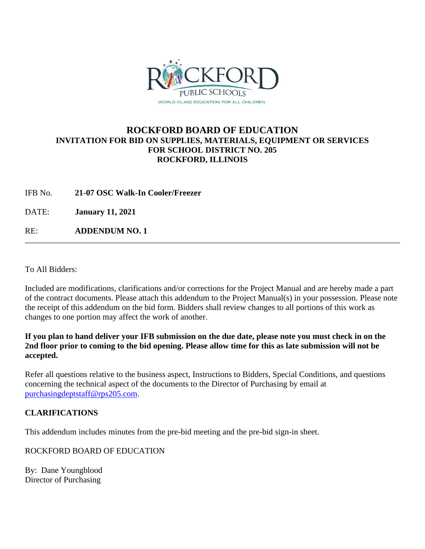

# **ROCKFORD BOARD OF EDUCATION INVITATION FOR BID ON SUPPLIES, MATERIALS, EQUIPMENT OR SERVICES FOR SCHOOL DISTRICT NO. 205 ROCKFORD, ILLINOIS**

IFB No. **21-07 OSC Walk-In Cooler/Freezer**

DATE: **January 11, 2021**

RE: **ADDENDUM NO. 1**

To All Bidders:

Included are modifications, clarifications and/or corrections for the Project Manual and are hereby made a part of the contract documents. Please attach this addendum to the Project Manual(s) in your possession. Please note the receipt of this addendum on the bid form. Bidders shall review changes to all portions of this work as changes to one portion may affect the work of another.

**If you plan to hand deliver your IFB submission on the due date, please note you must check in on the 2nd floor prior to coming to the bid opening. Please allow time for this as late submission will not be accepted.**

Refer all questions relative to the business aspect, Instructions to Bidders, Special Conditions, and questions concerning the technical aspect of the documents to the Director of Purchasing by email at [purchasingdeptstaff@rps205.com.](mailto:purchasingdeptstaff@rps205.com)

# **CLARIFICATIONS**

This addendum includes minutes from the pre-bid meeting and the pre-bid sign-in sheet.

ROCKFORD BOARD OF EDUCATION

By: Dane Youngblood Director of Purchasing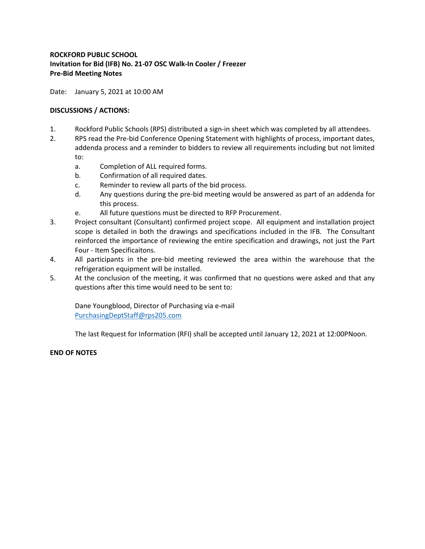## **ROCKFORD PUBLIC SCHOOL Invitation for Bid (IFB) No. 21-07 OSC Walk-In Cooler / Freezer Pre-Bid Meeting Notes**

Date: January 5, 2021 at 10:00 AM

### **DISCUSSIONS / ACTIONS:**

- 1. Rockford Public Schools (RPS) distributed a sign-in sheet which was completed by all attendees.
- 2. RPS read the Pre-bid Conference Opening Statement with highlights of process, important dates, addenda process and a reminder to bidders to review all requirements including but not limited to:
	- a. Completion of ALL required forms.
	- b. Confirmation of all required dates.
	- c. Reminder to review all parts of the bid process.
	- d. Any questions during the pre-bid meeting would be answered as part of an addenda for this process.
	- e. All future questions must be directed to RFP Procurement.
- 3. Project consultant (Consultant) confirmed project scope. All equipment and installation project scope is detailed in both the drawings and specifications included in the IFB. The Consultant reinforced the importance of reviewing the entire specification and drawings, not just the Part Four - Item Specificaitons.
- 4. All participants in the pre-bid meeting reviewed the area within the warehouse that the refrigeration equipment will be installed.
- 5. At the conclusion of the meeting, it was confirmed that no questions were asked and that any questions after this time would need to be sent to:

Dane Youngblood, Director of Purchasing via e-mail [PurchasingDeptStaff@rps205.com](mailto:PurchasingDeptStaff@rps205.com)

The last Request for Information (RFI) shall be accepted until January 12, 2021 at 12:00PNoon.

### **END OF NOTES**